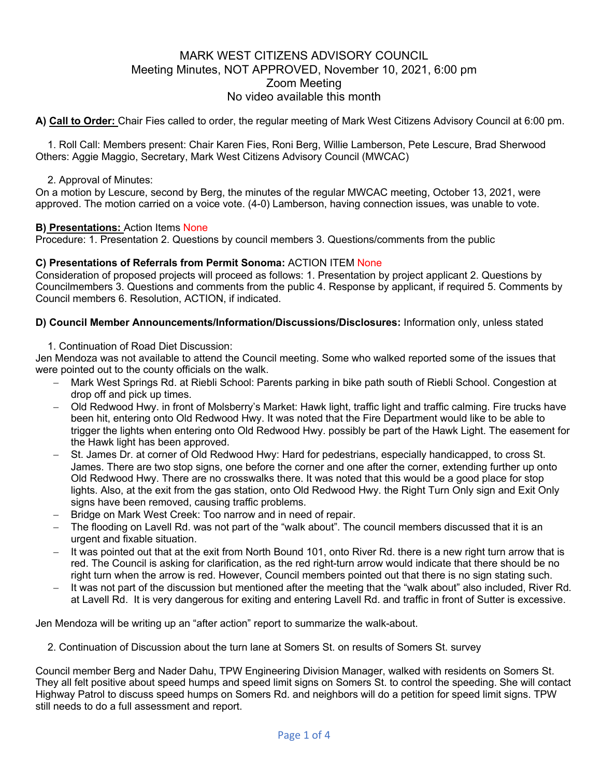# MARK WEST CITIZENS ADVISORY COUNCIL Meeting Minutes, NOT APPROVED, November 10, 2021, 6:00 pm Zoom Meeting No video available this month

**A) Call to Order:** Chair Fies called to order, the regular meeting of Mark West Citizens Advisory Council at 6:00 pm.

1. Roll Call: Members present: Chair Karen Fies, Roni Berg, Willie Lamberson, Pete Lescure, Brad Sherwood Others: Aggie Maggio, Secretary, Mark West Citizens Advisory Council (MWCAC)

### 2. Approval of Minutes:

On a motion by Lescure, second by Berg, the minutes of the regular MWCAC meeting, October 13, 2021, were approved. The motion carried on a voice vote. (4-0) Lamberson, having connection issues, was unable to vote.

#### **B) Presentations:** Action Items None

Procedure: 1. Presentation 2. Questions by council members 3. Questions/comments from the public

## **C) Presentations of Referrals from Permit Sonoma:** ACTION ITEM None

Consideration of proposed projects will proceed as follows: 1. Presentation by project applicant 2. Questions by Councilmembers 3. Questions and comments from the public 4. Response by applicant, if required 5. Comments by Council members 6. Resolution, ACTION, if indicated.

#### **D) Council Member Announcements/Information/Discussions/Disclosures:** Information only, unless stated

1. Continuation of Road Diet Discussion:

Jen Mendoza was not available to attend the Council meeting. Some who walked reported some of the issues that were pointed out to the county officials on the walk.

- Mark West Springs Rd. at Riebli School: Parents parking in bike path south of Riebli School. Congestion at drop off and pick up times.
- Old Redwood Hwy. in front of Molsberry's Market: Hawk light, traffic light and traffic calming. Fire trucks have been hit, entering onto Old Redwood Hwy. It was noted that the Fire Department would like to be able to trigger the lights when entering onto Old Redwood Hwy. possibly be part of the Hawk Light. The easement for the Hawk light has been approved.
- St. James Dr. at corner of Old Redwood Hwy: Hard for pedestrians, especially handicapped, to cross St. James. There are two stop signs, one before the corner and one after the corner, extending further up onto Old Redwood Hwy. There are no crosswalks there. It was noted that this would be a good place for stop lights. Also, at the exit from the gas station, onto Old Redwood Hwy. the Right Turn Only sign and Exit Only signs have been removed, causing traffic problems.
- Bridge on Mark West Creek: Too narrow and in need of repair.
- The flooding on Lavell Rd. was not part of the "walk about". The council members discussed that it is an urgent and fixable situation.
- It was pointed out that at the exit from North Bound 101, onto River Rd. there is a new right turn arrow that is red. The Council is asking for clarification, as the red right-turn arrow would indicate that there should be no right turn when the arrow is red. However, Council members pointed out that there is no sign stating such.
- It was not part of the discussion but mentioned after the meeting that the "walk about" also included, River Rd. at Lavell Rd. It is very dangerous for exiting and entering Lavell Rd. and traffic in front of Sutter is excessive.

Jen Mendoza will be writing up an "after action" report to summarize the walk-about.

2. Continuation of Discussion about the turn lane at Somers St. on results of Somers St. survey

Council member Berg and Nader Dahu, TPW Engineering Division Manager, walked with residents on Somers St. They all felt positive about speed humps and speed limit signs on Somers St. to control the speeding. She will contact Highway Patrol to discuss speed humps on Somers Rd. and neighbors will do a petition for speed limit signs. TPW still needs to do a full assessment and report.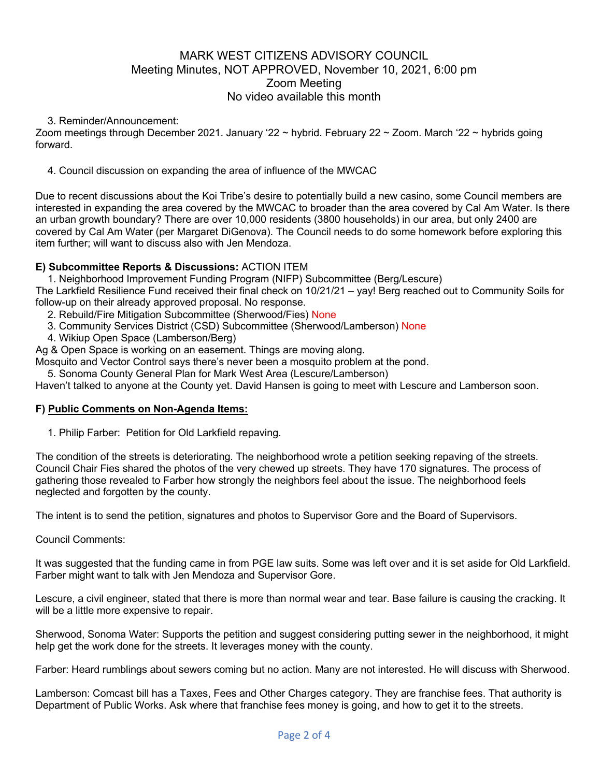# MARK WEST CITIZENS ADVISORY COUNCIL Meeting Minutes, NOT APPROVED, November 10, 2021, 6:00 pm Zoom Meeting No video available this month

#### 3. Reminder/Announcement:

Zoom meetings through December 2021. January '22 ~ hybrid. February 22 ~ Zoom. March '22 ~ hybrids going forward.

#### 4. Council discussion on expanding the area of influence of the MWCAC

Due to recent discussions about the Koi Tribe's desire to potentially build a new casino, some Council members are interested in expanding the area covered by the MWCAC to broader than the area covered by Cal Am Water. Is there an urban growth boundary? There are over 10,000 residents (3800 households) in our area, but only 2400 are covered by Cal Am Water (per Margaret DiGenova). The Council needs to do some homework before exploring this item further; will want to discuss also with Jen Mendoza.

## **E) Subcommittee Reports & Discussions:** ACTION ITEM

1. Neighborhood Improvement Funding Program (NIFP) Subcommittee (Berg/Lescure)

The Larkfield Resilience Fund received their final check on 10/21/21 – yay! Berg reached out to Community Soils for follow-up on their already approved proposal. No response.

2. Rebuild/Fire Mitigation Subcommittee (Sherwood/Fies) None

- 3. Community Services District (CSD) Subcommittee (Sherwood/Lamberson) None
- 4. Wikiup Open Space (Lamberson/Berg)

Ag & Open Space is working on an easement. Things are moving along.

Mosquito and Vector Control says there's never been a mosquito problem at the pond.

5. Sonoma County General Plan for Mark West Area (Lescure/Lamberson)

Haven't talked to anyone at the County yet. David Hansen is going to meet with Lescure and Lamberson soon.

#### **F) Public Comments on Non-Agenda Items:**

1. Philip Farber: Petition for Old Larkfield repaving.

The condition of the streets is deteriorating. The neighborhood wrote a petition seeking repaving of the streets. Council Chair Fies shared the photos of the very chewed up streets. They have 170 signatures. The process of gathering those revealed to Farber how strongly the neighbors feel about the issue. The neighborhood feels neglected and forgotten by the county.

The intent is to send the petition, signatures and photos to Supervisor Gore and the Board of Supervisors.

Council Comments:

It was suggested that the funding came in from PGE law suits. Some was left over and it is set aside for Old Larkfield. Farber might want to talk with Jen Mendoza and Supervisor Gore.

Lescure, a civil engineer, stated that there is more than normal wear and tear. Base failure is causing the cracking. It will be a little more expensive to repair.

Sherwood, Sonoma Water: Supports the petition and suggest considering putting sewer in the neighborhood, it might help get the work done for the streets. It leverages money with the county.

Farber: Heard rumblings about sewers coming but no action. Many are not interested. He will discuss with Sherwood.

Lamberson: Comcast bill has a Taxes, Fees and Other Charges category. They are franchise fees. That authority is Department of Public Works. Ask where that franchise fees money is going, and how to get it to the streets.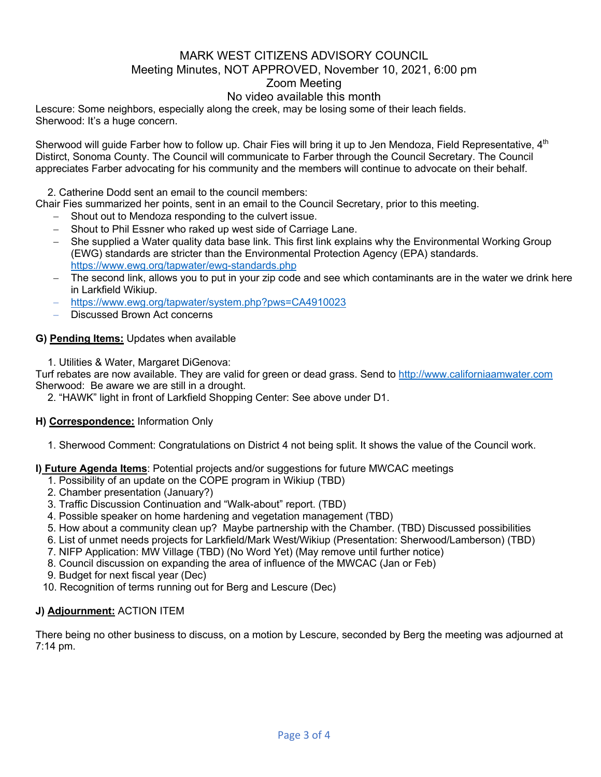# MARK WEST CITIZENS ADVISORY COUNCIL Meeting Minutes, NOT APPROVED, November 10, 2021, 6:00 pm Zoom Meeting

## No video available this month

Lescure: Some neighbors, especially along the creek, may be losing some of their leach fields. Sherwood: It's a huge concern.

Sherwood will guide Farber how to follow up. Chair Fies will bring it up to Jen Mendoza, Field Representative, 4<sup>th</sup> Distirct, Sonoma County. The Council will communicate to Farber through the Council Secretary. The Council appreciates Farber advocating for his community and the members will continue to advocate on their behalf.

2. Catherine Dodd sent an email to the council members:

Chair Fies summarized her points, sent in an email to the Council Secretary, prior to this meeting.

- Shout out to Mendoza responding to the culvert issue.
- Shout to Phil Essner who raked up west side of Carriage Lane.
- She supplied a Water quality data base link. This first link explains why the Environmental Working Group (EWG) standards are stricter than the Environmental Protection Agency (EPA) standards. https://www.ewg.org/tapwater/ewg-standards.php
- The second link, allows you to put in your zip code and see which contaminants are in the water we drink here in Larkfield Wikiup.
- https://www.ewg.org/tapwater/system.php?pws=CA4910023
- Discussed Brown Act concerns

#### **G) Pending Items:** Updates when available

1. Utilities & Water, Margaret DiGenova:

Turf rebates are now available. They are valid for green or dead grass. Send to http://www.californiaamwater.com Sherwood: Be aware we are still in a drought.

2. "HAWK" light in front of Larkfield Shopping Center: See above under D1.

## **H) Correspondence:** Information Only

1. Sherwood Comment: Congratulations on District 4 not being split. It shows the value of the Council work.

## **I) Future Agenda Items**: Potential projects and/or suggestions for future MWCAC meetings

- 1. Possibility of an update on the COPE program in Wikiup (TBD)
- 2. Chamber presentation (January?)
- 3. Traffic Discussion Continuation and "Walk-about" report. (TBD)
- 4. Possible speaker on home hardening and vegetation management (TBD)
- 5. How about a community clean up? Maybe partnership with the Chamber. (TBD) Discussed possibilities
- 6. List of unmet needs projects for Larkfield/Mark West/Wikiup (Presentation: Sherwood/Lamberson) (TBD)
- 7. NIFP Application: MW Village (TBD) (No Word Yet) (May remove until further notice)
- 8. Council discussion on expanding the area of influence of the MWCAC (Jan or Feb)
- 9. Budget for next fiscal year (Dec)
- 10. Recognition of terms running out for Berg and Lescure (Dec)

## **J) Adjournment:** ACTION ITEM

There being no other business to discuss, on a motion by Lescure, seconded by Berg the meeting was adjourned at 7:14 pm.